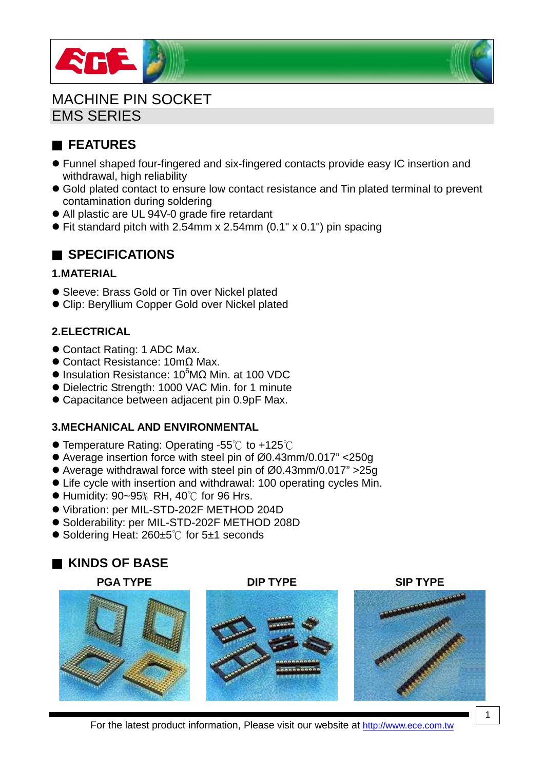



MACHINE PIN SOCKET EMS SERIES

# ■ **FEATURES**

- Funnel shaped four-fingered and six-fingered contacts provide easy IC insertion and withdrawal, high reliability
- Gold plated contact to ensure low contact resistance and Tin plated terminal to prevent contamination during soldering
- All plastic are UL 94V-0 grade fire retardant
- $\bullet$  Fit standard pitch with 2.54mm x 2.54mm (0.1" x 0.1") pin spacing

## ■ **SPECIFICATIONS**

#### **1.MATERIAL**

- Sleeve: Brass Gold or Tin over Nickel plated
- Clip: Beryllium Copper Gold over Nickel plated

#### **2.ELECTRICAL**

- Contact Rating: 1 ADC Max.
- Contact Resistance: 10mΩ Max.
- $\bullet$  Insulation Resistance: 10<sup>6</sup>MΩ Min. at 100 VDC
- Dielectric Strength: 1000 VAC Min. for 1 minute
- Capacitance between adjacent pin 0.9pF Max.

#### **3.MECHANICAL AND ENVIRONMENTAL**

- $\bullet$  Temperature Rating: Operating -55°C to +125°C
- Average insertion force with steel pin of Ø0.43mm/0.017" <250g
- Average withdrawal force with steel pin of Ø0.43mm/0.017" >25g
- Life cycle with insertion and withdrawal: 100 operating cycles Min.
- $\bullet$  Humidity: 90~95% RH, 40 $\degree$ C for 96 Hrs.
- Vibration: per MIL-STD-202F METHOD 204D
- Solderability: per MIL-STD-202F METHOD 208D
- Soldering Heat: 260±5<sup>°</sup>C for 5±1 seconds

## ■ **KINDS OF BASE**

#### **PGA TYPE DIP TYPE SIP TYPE**



For the latest product information, Please visit our website at http://www.ece.com.tw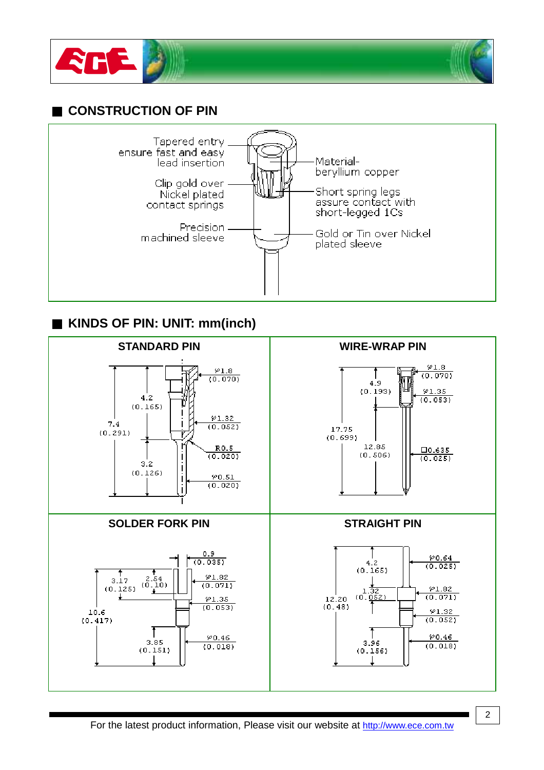



## ■ **CONSTRUCTION OF PIN**



## ■ **KINDS OF PIN: UNIT: mm(inch)**

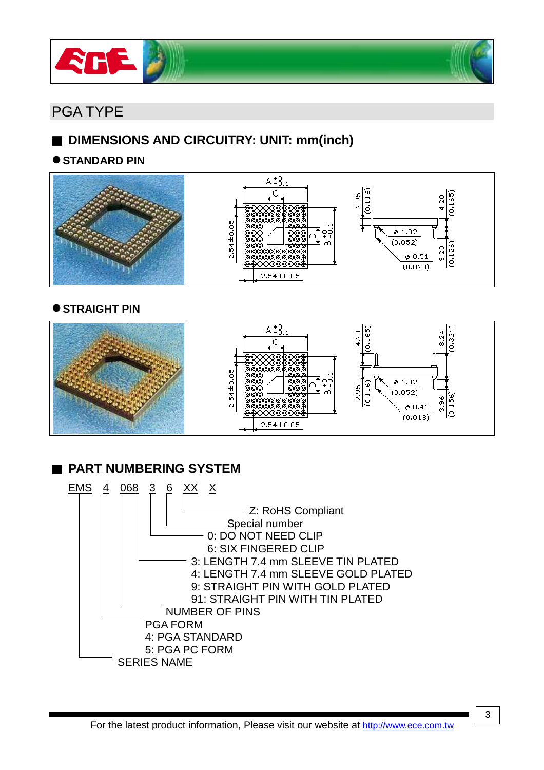



# PGA TYPE

# ■ **DIMENSIONS AND CIRCUITRY: UNIT: mm(inch)**

#### $\bullet$  STANDARD PIN



#### $\bullet$  **STRAIGHT PIN**



# ■ **PART NUMBERING SYSTEM**

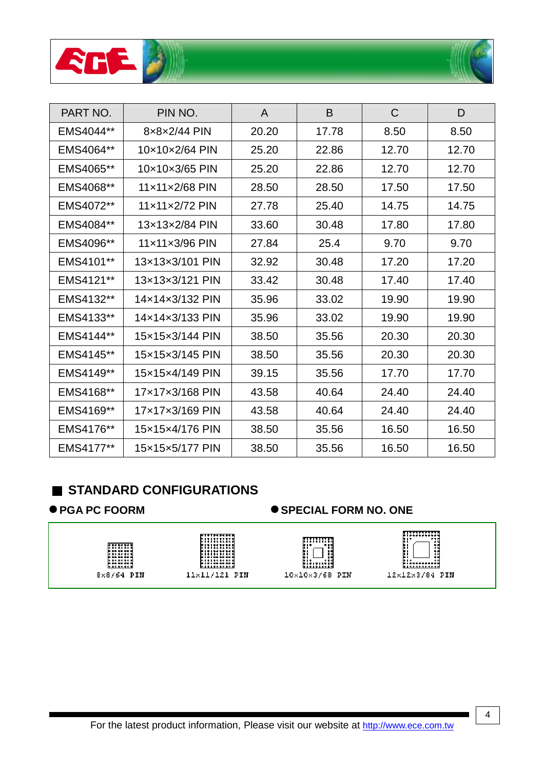



| PART NO.  | PIN NO.         | A     | B     | $\mathsf{C}$ | D     |
|-----------|-----------------|-------|-------|--------------|-------|
| EMS4044** | 8x8x2/44 PIN    | 20.20 | 17.78 | 8.50         | 8.50  |
| EMS4064** | 10×10×2/64 PIN  | 25.20 | 22.86 | 12.70        | 12.70 |
| EMS4065** | 10×10×3/65 PIN  | 25.20 | 22.86 | 12.70        | 12.70 |
| EMS4068** | 11x11x2/68 PIN  | 28.50 | 28.50 | 17.50        | 17.50 |
| EMS4072** | 11x11x2/72 PIN  | 27.78 | 25.40 | 14.75        | 14.75 |
| EMS4084** | 13x13x2/84 PIN  | 33.60 | 30.48 | 17.80        | 17.80 |
| EMS4096** | 11×11×3/96 PIN  | 27.84 | 25.4  | 9.70         | 9.70  |
| EMS4101** | 13x13x3/101 PIN | 32.92 | 30.48 | 17.20        | 17.20 |
| EMS4121** | 13x13x3/121 PIN | 33.42 | 30.48 | 17.40        | 17.40 |
| EMS4132** | 14x14x3/132 PIN | 35.96 | 33.02 | 19.90        | 19.90 |
| EMS4133** | 14x14x3/133 PIN | 35.96 | 33.02 | 19.90        | 19.90 |
| EMS4144** | 15x15x3/144 PIN | 38.50 | 35.56 | 20.30        | 20.30 |
| EMS4145** | 15x15x3/145 PIN | 38.50 | 35.56 | 20.30        | 20.30 |
| EMS4149** | 15x15x4/149 PIN | 39.15 | 35.56 | 17.70        | 17.70 |
| EMS4168** | 17x17x3/168 PIN | 43.58 | 40.64 | 24.40        | 24.40 |
| EMS4169** | 17×17×3/169 PIN | 43.58 | 40.64 | 24.40        | 24.40 |
| EMS4176** | 15x15x4/176 PIN | 38.50 | 35.56 | 16.50        | 16.50 |
| EMS4177** | 15x15x5/177 PIN | 38.50 | 35.56 | 16.50        | 16.50 |

## ■ **STANDARD CONFIGURATIONS**

#### ● PGA PC FOORM ● SPECIAL FORM NO. ONE



4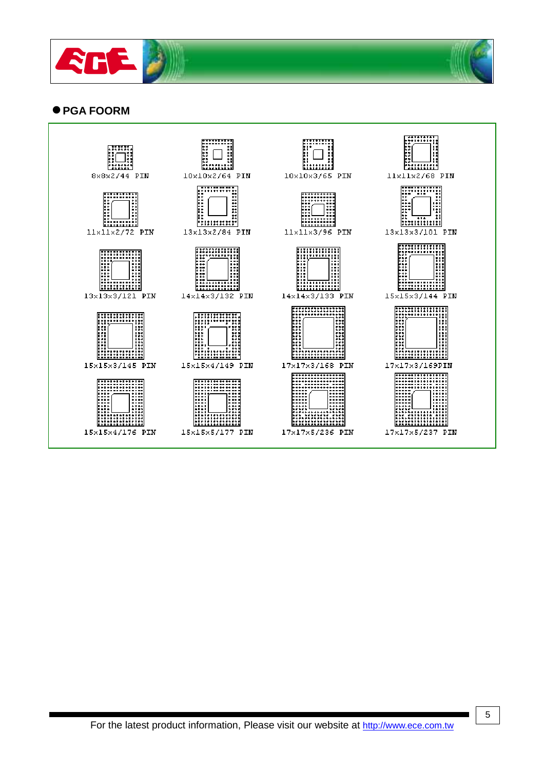



#### **PGA FOORM**

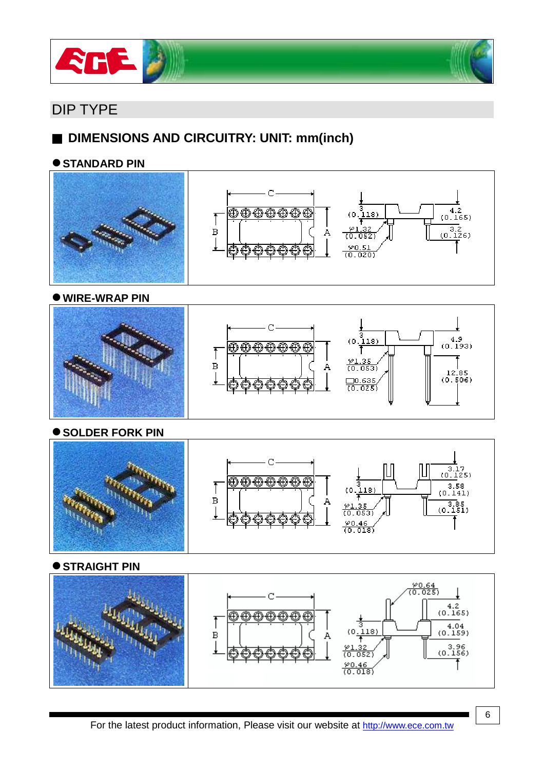

# DIP TYPE

# ■ **DIMENSIONS AND CIRCUITRY: UNIT: mm(inch)**

#### $\bullet$  STANDARD PIN



**WIRE-WRAP PIN**



**SOLDER FORK PIN** 



**STRAIGHT PIN** 

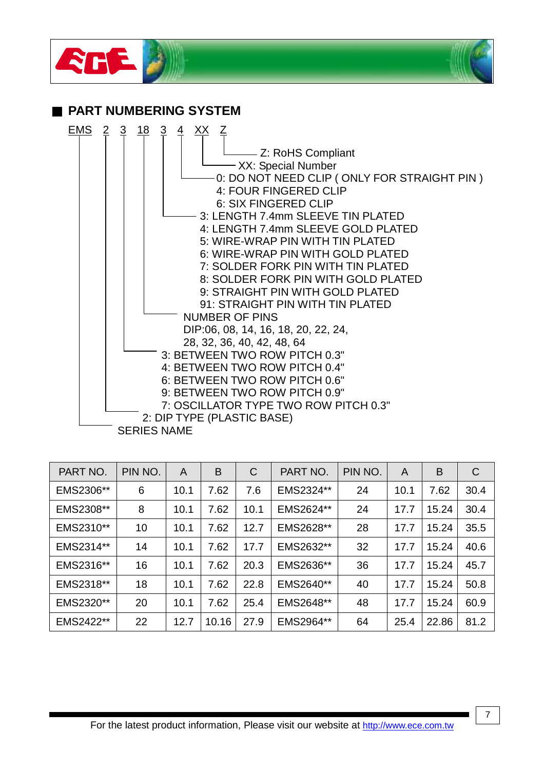

- 7: OSCILLATOR TYPE TWO ROW PITCH 0.3"
- 2: DIP TYPE (PLASTIC BASE)

| <b>SERIES NAME</b> |  |
|--------------------|--|
|--------------------|--|

| PART NO.  | PIN NO. | A    | B     | $\mathsf{C}$ | PART NO.  | PIN NO. | A    | B     | $\mathsf{C}$ |
|-----------|---------|------|-------|--------------|-----------|---------|------|-------|--------------|
| EMS2306** | 6       | 10.1 | 7.62  | 7.6          | EMS2324** | 24      | 10.1 | 7.62  | 30.4         |
| EMS2308** | 8       | 10.1 | 7.62  | 10.1         | EMS2624** | 24      | 17.7 | 15.24 | 30.4         |
| EMS2310** | 10      | 10.1 | 7.62  | 12.7         | EMS2628** | 28      | 17.7 | 15.24 | 35.5         |
| EMS2314** | 14      | 10.1 | 7.62  | 17.7         | EMS2632** | 32      | 17.7 | 15.24 | 40.6         |
| EMS2316** | 16      | 10.1 | 7.62  | 20.3         | EMS2636** | 36      | 17.7 | 15.24 | 45.7         |
| EMS2318** | 18      | 10.1 | 7.62  | 22.8         | EMS2640** | 40      | 17.7 | 15.24 | 50.8         |
| EMS2320** | 20      | 10.1 | 7.62  | 25.4         | EMS2648** | 48      | 17.7 | 15.24 | 60.9         |
| EMS2422** | 22      | 12.7 | 10.16 | 27.9         | EMS2964** | 64      | 25.4 | 22.86 | 81.2         |

7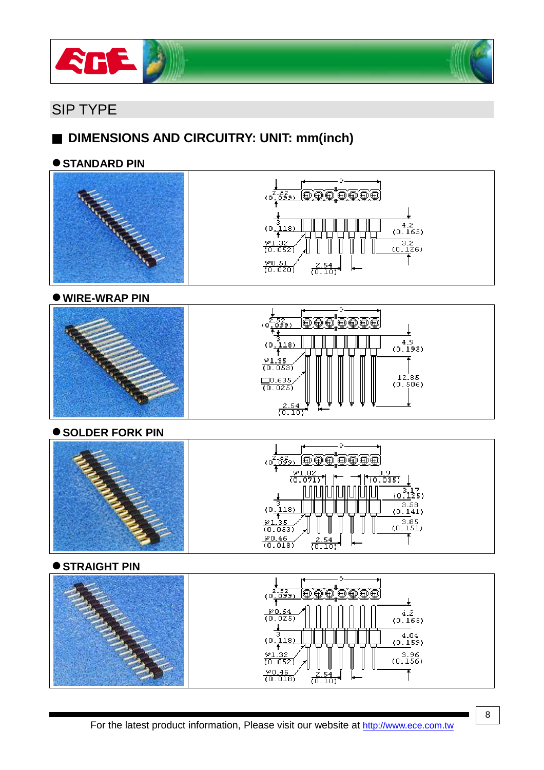



## SIP TYPE

# ■ **DIMENSIONS AND CIRCUITRY: UNIT: mm(inch)**

#### $\bullet$  STANDARD PIN





**WIRE-WRAP PIN**





#### **SOLDER FORK PIN**





#### **STRAIGHT PIN**